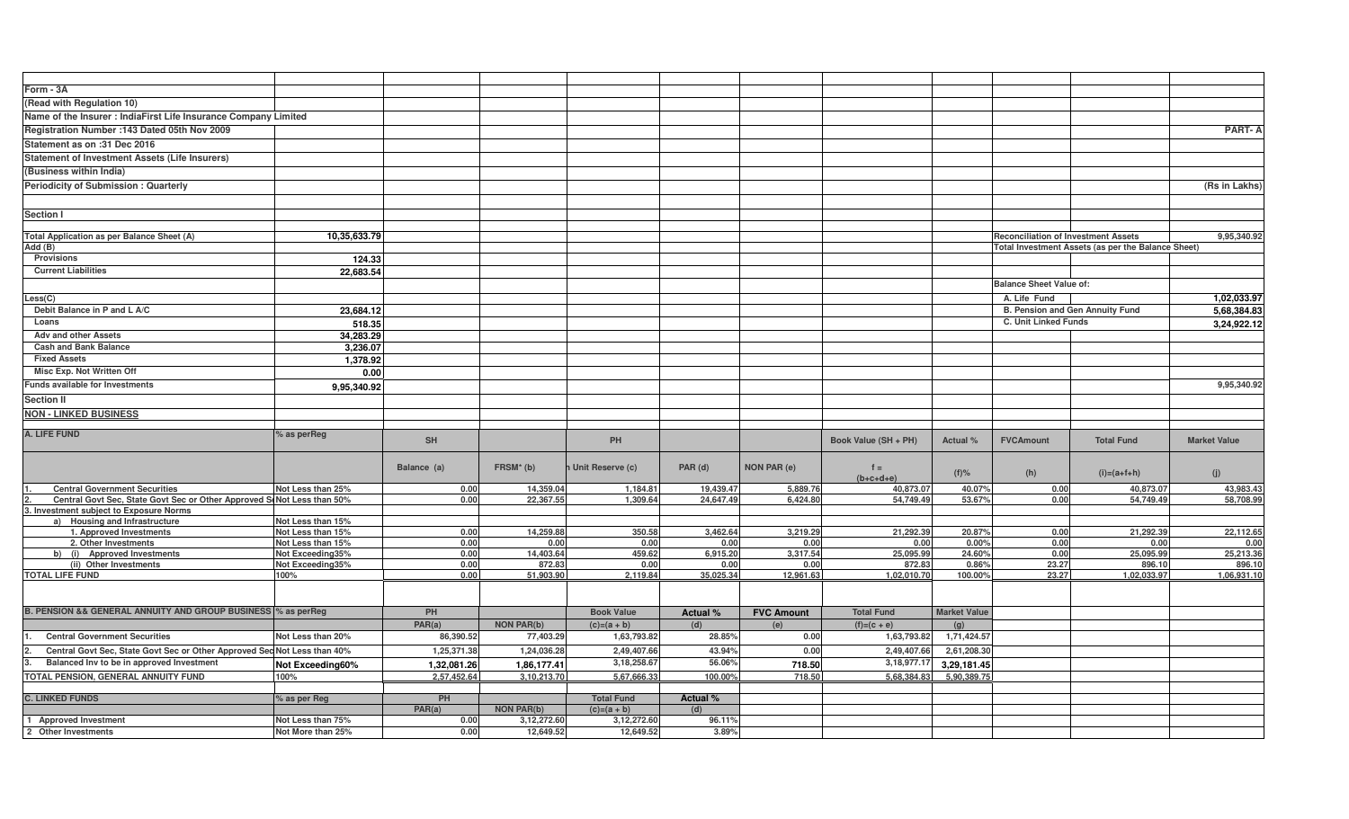| Form - 3A                                                                |                   |                                            |                   |                                    |                        |                    |                          |                      |                                 |                                                    |                       |
|--------------------------------------------------------------------------|-------------------|--------------------------------------------|-------------------|------------------------------------|------------------------|--------------------|--------------------------|----------------------|---------------------------------|----------------------------------------------------|-----------------------|
| (Read with Regulation 10)                                                |                   |                                            |                   |                                    |                        |                    |                          |                      |                                 |                                                    |                       |
| Name of the Insurer : IndiaFirst Life Insurance Company Limited          |                   |                                            |                   |                                    |                        |                    |                          |                      |                                 |                                                    |                       |
| Registration Number : 143 Dated 05th Nov 2009                            |                   |                                            |                   |                                    |                        |                    |                          |                      |                                 |                                                    | <b>PART-A</b>         |
| Statement as on :31 Dec 2016                                             |                   |                                            |                   |                                    |                        |                    |                          |                      |                                 |                                                    |                       |
|                                                                          |                   |                                            |                   |                                    |                        |                    |                          |                      |                                 |                                                    |                       |
| <b>Statement of Investment Assets (Life Insurers)</b>                    |                   |                                            |                   |                                    |                        |                    |                          |                      |                                 |                                                    |                       |
| (Business within India)                                                  |                   |                                            |                   |                                    |                        |                    |                          |                      |                                 |                                                    |                       |
| <b>Periodicity of Submission: Quarterly</b>                              |                   |                                            |                   |                                    |                        |                    |                          |                      |                                 |                                                    | (Rs in Lakhs)         |
|                                                                          |                   |                                            |                   |                                    |                        |                    |                          |                      |                                 |                                                    |                       |
| Section I                                                                |                   |                                            |                   |                                    |                        |                    |                          |                      |                                 |                                                    |                       |
|                                                                          |                   |                                            |                   |                                    |                        |                    |                          |                      |                                 |                                                    |                       |
| Total Application as per Balance Sheet (A)                               | 10,35,633.79      | <b>Reconciliation of Investment Assets</b> |                   |                                    |                        |                    | 9,95,340.92              |                      |                                 |                                                    |                       |
| Add (B)                                                                  |                   |                                            |                   |                                    |                        |                    |                          |                      |                                 | Total Investment Assets (as per the Balance Sheet) |                       |
| Provisions                                                               | 124.33            |                                            |                   |                                    |                        |                    |                          |                      |                                 |                                                    |                       |
| <b>Current Liabilities</b>                                               | 22,683.54         |                                            |                   |                                    |                        |                    |                          |                      |                                 |                                                    |                       |
|                                                                          |                   |                                            |                   |                                    |                        |                    |                          |                      | <b>Balance Sheet Value of:</b>  |                                                    |                       |
| Less(C)                                                                  |                   |                                            |                   |                                    |                        |                    |                          |                      | A. Life Fund                    |                                                    | 1,02,033.97           |
| Debit Balance in P and L A/C                                             | 23,684.12         |                                            |                   |                                    |                        |                    |                          |                      | B. Pension and Gen Annuity Fund |                                                    | 5,68,384.83           |
| Loans                                                                    | 518.35            |                                            |                   |                                    |                        |                    |                          | C. Unit Linked Funds |                                 |                                                    | 3,24,922.12           |
| <b>Adv and other Assets</b>                                              | 34.283.29         |                                            |                   |                                    |                        |                    |                          |                      |                                 |                                                    |                       |
| <b>Cash and Bank Balance</b>                                             | 3,236.07          |                                            |                   |                                    |                        |                    |                          |                      |                                 |                                                    |                       |
| <b>Fixed Assets</b>                                                      | 1,378.92          |                                            |                   |                                    |                        |                    |                          |                      |                                 |                                                    |                       |
| Misc Exp. Not Written Off                                                | 0.00              |                                            |                   |                                    |                        |                    |                          |                      |                                 |                                                    |                       |
| <b>Funds available for Investments</b>                                   | 9,95,340.92       |                                            |                   |                                    |                        |                    |                          |                      |                                 |                                                    | 9,95,340.92           |
| <b>Section II</b>                                                        |                   |                                            |                   |                                    |                        |                    |                          |                      |                                 |                                                    |                       |
|                                                                          |                   |                                            |                   |                                    |                        |                    |                          |                      |                                 |                                                    |                       |
| <b>NON - LINKED BUSINESS</b>                                             |                   |                                            |                   |                                    |                        |                    |                          |                      |                                 |                                                    |                       |
| A. LIFE FUND                                                             | % as perReg       |                                            |                   |                                    |                        |                    |                          |                      |                                 |                                                    |                       |
|                                                                          |                   | <b>SH</b>                                  |                   | PH                                 |                        |                    | Book Value (SH + PH)     | Actual %             | <b>FVCAmount</b>                | <b>Total Fund</b>                                  | <b>Market Value</b>   |
|                                                                          |                   |                                            |                   |                                    |                        |                    |                          |                      |                                 |                                                    |                       |
|                                                                          |                   | Balance (a)                                | $FRSM*$ (b)       | Unit Reserve (c)                   | PAR (d)                | <b>NON PAR (e)</b> | $f =$                    | $(f)$ %              | (h)                             | $(i)=(a+1+h)$                                      | (j)                   |
| <b>Central Government Securities</b>                                     | Not Less than 25% | 0.00                                       | 14,359.04         | 1,184.8                            | 19,439.47              | 5,889.7            | $(b+c+d+e)$<br>40,873.07 | 40.07%               | 0.00                            | 40,873.07                                          | 43,983.43             |
| Central Govt Sec, State Govt Sec or Other Approved ScNot Less than 50%   |                   | 0.00                                       | 22,367.55         | 1,309.64                           | 24,647.49              | 6,424.80           | 54,749.49                | 53.67%               | 0.00                            | 54,749.49                                          | 58,708.99             |
| Investment subject to Exposure Norms                                     |                   |                                            |                   |                                    |                        |                    |                          |                      |                                 |                                                    |                       |
| a) Housing and Infrastructure                                            | Not Less than 15% |                                            |                   |                                    |                        |                    |                          |                      |                                 |                                                    |                       |
| 1. Approved Investments                                                  | Not Less than 15% | 0.00                                       | 14,259.88         | 350.58                             | 3,462.64               | 3,219.29           | 21,292.3                 | 20.87%               | 0.00                            | 21,292.39                                          | 22,112.65             |
| 2. Other Investments                                                     | Not Less than 15% | 0.00                                       | 0.00              | 0.00                               | 0.00                   | 0.00               | 0.00                     | 0.00%                | 0.00                            | 0.00                                               | 0.00                  |
| b) (i) Approved Investments                                              | Not Exceeding35%  | 0.00                                       | 14,403.64         | 459.62                             | 6,915.20               | 3,317.54           | 25,095.99                | 24.60%               | 0.00                            | 25,095.99                                          | 25,213.36             |
| (ii) Other Investments<br><b>TOTAL LIFE FUND</b>                         | Not Exceeding35%  | 0.00                                       | 872.83            | 0.00                               | 0.00                   | 0.00<br>12,961.63  | 872.83                   | 0.86%                | 23.27                           | 896.10<br>1,02,033.97                              | 896.10<br>1,06,931.10 |
|                                                                          | 100%              | 0.00                                       | 51,903.90         | 2,119.84                           | 35,025.34              |                    | 1,02,010.70              | 100.00%              | 23.27                           |                                                    |                       |
|                                                                          |                   |                                            |                   |                                    |                        |                    |                          |                      |                                 |                                                    |                       |
|                                                                          |                   |                                            |                   |                                    |                        |                    |                          |                      |                                 |                                                    |                       |
| B. PENSION && GENERAL ANNUITY AND GROUP BUSINESS % as perReg             |                   | PH                                         |                   | <b>Book Value</b>                  | Actual %               | <b>FVC Amount</b>  | <b>Total Fund</b>        | <b>Market Value</b>  |                                 |                                                    |                       |
|                                                                          |                   | PAR(a)                                     | <b>NON PAR(b)</b> | $(c)=(a + b)$                      | (d)                    | (e)                | $(f)=(c + e)$            | (g)                  |                                 |                                                    |                       |
| <b>Central Government Securities</b>                                     | Not Less than 20% | 86,390.52                                  | 77,403.29         | 1,63,793.82                        | 28.85%                 | 0.00               | 1,63,793.82              | 1,71,424.57          |                                 |                                                    |                       |
| Central Govt Sec, State Govt Sec or Other Approved Sec Not Less than 40% |                   | 1,25,371.38                                | 1,24,036.28       | 2,49,407.66                        | 43.94%                 | 0.00               | 2,49,407.66              | 2,61,208.30          |                                 |                                                    |                       |
| Balanced Inv to be in approved Investment                                | Not Exceeding60%  | 1,32,081.26                                | 1,86,177.41       | 3, 18, 258.6                       | 56.06%                 | 718.50             | 3, 18, 977. 17           | 3,29,181.45          |                                 |                                                    |                       |
| TOTAL PENSION, GENERAL ANNUITY FUND                                      | 100%              | 2,57,452.64                                | 3,10,213.70       | 5,67,666.33                        | 100.00%                | 718.50             | 5,68,384.83              | 5,90,389.75          |                                 |                                                    |                       |
|                                                                          |                   |                                            |                   |                                    |                        |                    |                          |                      |                                 |                                                    |                       |
| <b>C. LINKED FUNDS</b>                                                   | % as per Reg      | PH<br>PAR(a)                               | <b>NON PAR(b)</b> | <b>Total Fund</b><br>$(c)=(a + b)$ | <b>Actual %</b><br>(d) |                    |                          |                      |                                 |                                                    |                       |
| 1 Approved Investment                                                    | Not Less than 75% | 0.00                                       | 3,12,272.60       | 3,12,272.60                        | 96.11%                 |                    |                          |                      |                                 |                                                    |                       |
| 2 Other Investments                                                      | Not More than 25% | 0.00                                       | 12,649.52         | 12,649.52                          | 3.89%                  |                    |                          |                      |                                 |                                                    |                       |
|                                                                          |                   |                                            |                   |                                    |                        |                    |                          |                      |                                 |                                                    |                       |